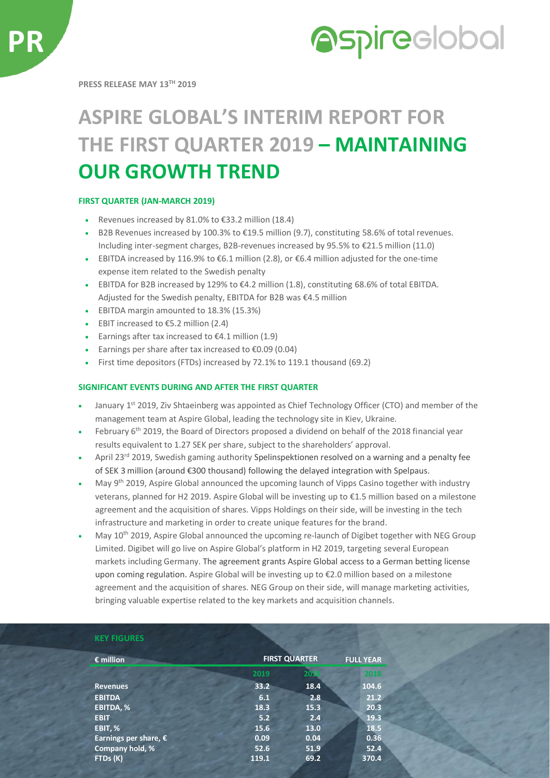



**PRESS RELEASE MAY 13 TH 2019**

# **ASPIRE GLOBAL'S INTERIM REPORT FOR THE FIRST QUARTER 2019 – MAINTAINING OUR GROWTH TREND**

### **FIRST QUARTER (JAN-MARCH 2019)**

- Revenues increased by 81.0% to  $\epsilon$ 33.2 million (18.4)
- B2B Revenues increased by 100.3% to €19.5 million (9.7), constituting 58.6% of total revenues. Including inter-segment charges, B2B-revenues increased by 95.5% to €21.5 million (11.0)
- EBITDA increased by 116.9% to  $\epsilon$ 6.1 million (2.8), or  $\epsilon$ 6.4 million adjusted for the one-time expense item related to the Swedish penalty
- EBITDA for B2B increased by 129% to €4.2 million (1.8), constituting 68.6% of total EBITDA. Adjusted for the Swedish penalty, EBITDA for B2B was €4.5 million
- EBITDA margin amounted to 18.3% (15.3%)
- EBIT increased to  $£5.2$  million (2.4)
- Earnings after tax increased to  $\epsilon$ 4.1 million (1.9)
- Earnings per share after tax increased to  $£0.09$  (0.04)
- First time depositors (FTDs) increased by 72.1% to 119.1 thousand (69.2)

#### **SIGNIFICANT EVENTS DURING AND AFTER THE FIRST QUARTER**

- January 1<sup>st</sup> 2019, Ziv Shtaeinberg was appointed as Chief Technology Officer (CTO) and member of the management team at Aspire Global, leading the technology site in Kiev, Ukraine.
- February 6th 2019, the Board of Directors proposed a dividend on behalf of the 2018 financial year results equivalent to 1.27 SEK per share, subject to the shareholders' approval.
- April 23<sup>rd</sup> 2019, Swedish gaming authority Spelinspektionen resolved on a warning and a penalty fee of SEK 3 million (around €300 thousand) following the delayed integration with Spelpaus.
- May 9<sup>th</sup> 2019, Aspire Global announced the upcoming launch of Vipps Casino together with industry veterans, planned for H2 2019. Aspire Global will be investing up to €1.5 million based on a milestone agreement and the acquisition of shares. Vipps Holdings on their side, will be investing in the tech infrastructure and marketing in order to create unique features for the brand.
- May 10<sup>th</sup> 2019, Aspire Global announced the upcoming re-launch of Digibet together with NEG Group Limited. Digibet will go live on Aspire Global's platform in H2 2019, targeting several European markets including Germany. The agreement grants Aspire Global access to a German betting license upon coming regulation. Aspire Global will be investing up to €2.0 million based on a milestone agreement and the acquisition of shares. NEG Group on their side, will manage marketing activities, bringing valuable expertise related to the key markets and acquisition channels.

| <b>KEY FIGURES</b>             |       |                      |                  |  |
|--------------------------------|-------|----------------------|------------------|--|
| $\epsilon$ million             |       | <b>FIRST QUARTER</b> | <b>FULL YEAR</b> |  |
|                                | 2019  | 2018                 | 2018             |  |
| <b>Revenues</b>                | 33.2  | 18.4                 | 104.6            |  |
| <b>EBITDA</b>                  | 6.1   | 2.8                  | 21.2             |  |
| EBITDA, %                      | 18.3  | 15.3                 | 20.3             |  |
| <b>EBIT</b>                    | 5.2   | 2.4                  | 19.3             |  |
| EBIT, %                        | 15.6  | 13.0                 | 18.5             |  |
| Earnings per share, $\epsilon$ | 0.09  | 0.04                 | 0.36             |  |
| Company hold, %                | 52.6  | 51.9                 | 52.4             |  |
| FTDs (K)                       | 119.1 | 69.2                 | 370.4            |  |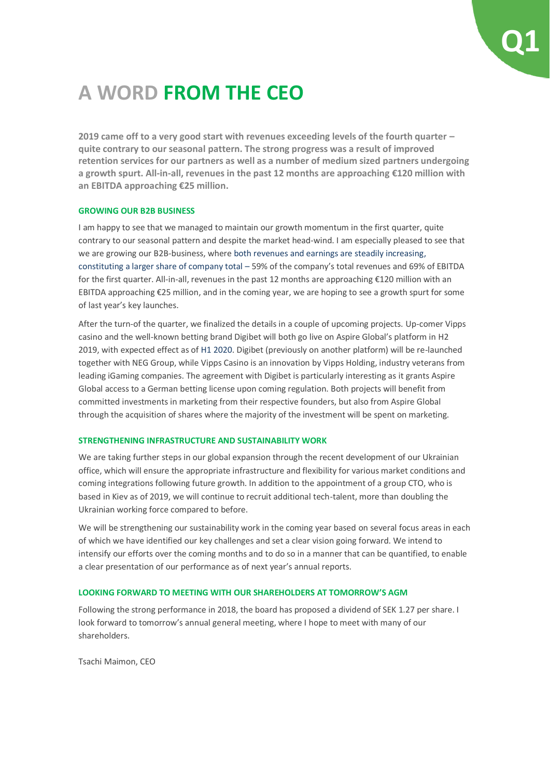

## **A WORD FROM THE CEO**

**2019 came off to a very good start with revenues exceeding levels of the fourth quarter – quite contrary to our seasonal pattern. The strong progress was a result of improved retention services for our partners as well as a number of medium sized partners undergoing a growth spurt. All-in-all, revenues in the past 12 months are approaching €120 million with an EBITDA approaching €25 million.**

#### **GROWING OUR B2B BUSINESS**

I am happy to see that we managed to maintain our growth momentum in the first quarter, quite contrary to our seasonal pattern and despite the market head-wind. I am especially pleased to see that we are growing our B2B-business, where both revenues and earnings are steadily increasing, constituting a larger share of company total – 59% of the company's total revenues and 69% of EBITDA for the first quarter. All-in-all, revenues in the past 12 months are approaching €120 million with an EBITDA approaching €25 million, and in the coming year, we are hoping to see a growth spurt for some of last year's key launches.

After the turn-of the quarter, we finalized the details in a couple of upcoming projects. Up-comer Vipps casino and the well-known betting brand Digibet will both go live on Aspire Global's platform in H2 2019, with expected effect as of H1 2020. Digibet (previously on another platform) will be re-launched together with NEG Group, while Vipps Casino is an innovation by Vipps Holding, industry veterans from leading iGaming companies. The agreement with Digibet is particularly interesting as it grants Aspire Global access to a German betting license upon coming regulation. Both projects will benefit from committed investments in marketing from their respective founders, but also from Aspire Global through the acquisition of shares where the majority of the investment will be spent on marketing.

#### **STRENGTHENING INFRASTRUCTURE AND SUSTAINABILITY WORK**

We are taking further steps in our global expansion through the recent development of our Ukrainian office, which will ensure the appropriate infrastructure and flexibility for various market conditions and coming integrations following future growth. In addition to the appointment of a group CTO, who is based in Kiev as of 2019, we will continue to recruit additional tech-talent, more than doubling the Ukrainian working force compared to before.

We will be strengthening our sustainability work in the coming year based on several focus areas in each of which we have identified our key challenges and set a clear vision going forward. We intend to intensify our efforts over the coming months and to do so in a manner that can be quantified, to enable a clear presentation of our performance as of next year's annual reports.

#### **LOOKING FORWARD TO MEETING WITH OUR SHAREHOLDERS AT TOMORROW'S AGM**

Following the strong performance in 2018, the board has proposed a dividend of SEK 1.27 per share. I look forward to tomorrow's annual general meeting, where I hope to meet with many of our shareholders.

Tsachi Maimon, CEO